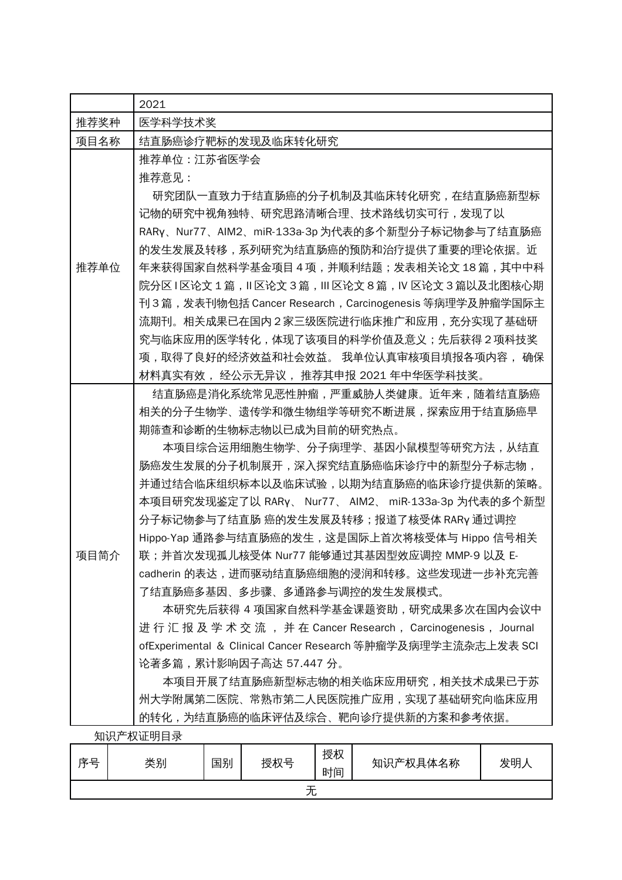|      | 2021                                                                                                                                                                                                                                                                                                                                                                                                                                                                                                                                                                                                                                                                                                                                                                                                                                                                |
|------|---------------------------------------------------------------------------------------------------------------------------------------------------------------------------------------------------------------------------------------------------------------------------------------------------------------------------------------------------------------------------------------------------------------------------------------------------------------------------------------------------------------------------------------------------------------------------------------------------------------------------------------------------------------------------------------------------------------------------------------------------------------------------------------------------------------------------------------------------------------------|
| 推荐奖种 | 医学科学技术奖                                                                                                                                                                                                                                                                                                                                                                                                                                                                                                                                                                                                                                                                                                                                                                                                                                                             |
| 项目名称 | 结直肠癌诊疗靶标的发现及临床转化研究                                                                                                                                                                                                                                                                                                                                                                                                                                                                                                                                                                                                                                                                                                                                                                                                                                                  |
| 推荐单位 | 推荐单位:江苏省医学会<br>推荐意见:<br>研究团队一直致力于结直肠癌的分子机制及其临床转化研究,在结直肠癌新型标<br>记物的研究中视角独特、研究思路清晰合理、技术路线切实可行,发现了以<br>RARy、Nur77、AIM2、miR-133a-3p 为代表的多个新型分子标记物参与了结直肠癌<br>的发生发展及转移,系列研究为结直肠癌的预防和治疗提供了重要的理论依据。近<br>年来获得国家自然科学基金项目 4 项,并顺利结题;发表相关论文 18 篇,其中中科<br>院分区 Ⅰ区论文 1 篇,Ⅱ区论文 3 篇,Ⅲ 区论文 8 篇,Ⅳ 区论文 3 篇以及北图核心期<br>刊3篇,发表刊物包括 Cancer Research,Carcinogenesis 等病理学及肿瘤学国际主<br>流期刊。相关成果已在国内2家三级医院进行临床推广和应用,充分实现了基础研<br>究与临床应用的医学转化,体现了该项目的科学价值及意义;先后获得2项科技奖<br>项,取得了良好的经济效益和社会效益。 我单位认真审核项目填报各项内容, 确保                                                                                                                                                                                                                                                                                                                                                                                    |
| 项目简介 | 材料真实有效 ,经公示无异议 ,推荐其申报 2021 年中华医学科技奖。<br>结直肠癌是消化系统常见恶性肿瘤,严重威胁人类健康。近年来,随着结直肠癌<br>相关的分子生物学、遗传学和微生物组学等研究不断进展,探索应用于结直肠癌早<br>期筛查和诊断的生物标志物以已成为目前的研究热点。<br>本项目综合运用细胞生物学、分子病理学、基因小鼠模型等研究方法,从结直<br>肠癌发生发展的分子机制展开,深入探究结直肠癌临床诊疗中的新型分子标志物,<br>并通过结合临床组织标本以及临床试验,以期为结直肠癌的临床诊疗提供新的策略。<br>本项目研究发现鉴定了以 RARy、 Nur77、 AIM2、 miR-133a-3p 为代表的多个新型<br>分子标记物参与了结直肠 癌的发生发展及转移;报道了核受体 RARy 通过调控<br>Hippo-Yap 通路参与结直肠癌的发生,这是国际上首次将核受体与 Hippo 信号相关<br>联;并首次发现孤儿核受体 Nur77 能够通过其基因型效应调控 MMP-9 以及 E-<br>cadherin 的表达,进而驱动结直肠癌细胞的浸润和转移。这些发现进一步补充完善<br>了结直肠癌多基因、多步骤、多通路参与调控的发生发展模式。<br>本研究先后获得 4 项国家自然科学基金课题资助,研究成果多次在国内会议中<br>进行汇报及学术交流,并在 Cancer Research,Carcinogenesis,Journal<br>ofExperimental & Clinical Cancer Research 等肿瘤学及病理学主流杂志上发表 SCI<br>论著多篇,累计影响因子高达 57.447 分。<br>本项目开展了结直肠癌新型标志物的相关临床应用研究,相关技术成果已于苏<br>州大学附属第二医院、常熟市第二人民医院推广应用,实现了基础研究向临床应用<br>的转化,为结直肠癌的临床评估及综合、靶向诊疗提供新的方案和参考依据。 |
|      | 知识产权证明目录                                                                                                                                                                                                                                                                                                                                                                                                                                                                                                                                                                                                                                                                                                                                                                                                                                                            |
|      |                                                                                                                                                                                                                                                                                                                                                                                                                                                                                                                                                                                                                                                                                                                                                                                                                                                                     |

| 序是 | 类别 | 国别 | 授权号 | 授权<br>时间 | 知识产权具体名称 | 发明人 |
|----|----|----|-----|----------|----------|-----|
|    |    |    | ノレ  |          |          |     |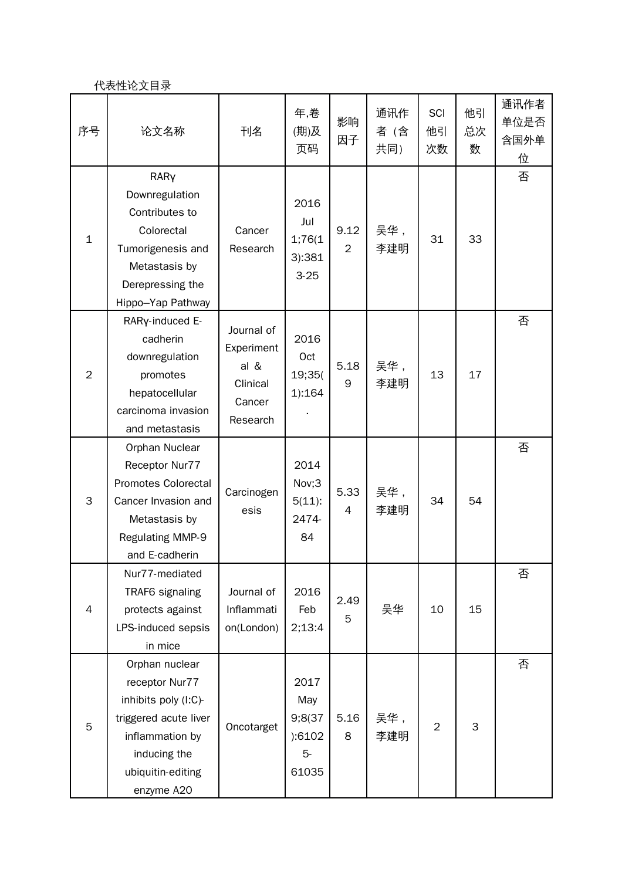## 代表性论文目录

| 序号             | 论文名称                                                                                                                                                    | 刊名                                                                 | 年,卷<br>(期)及<br>页码                                | 影响<br>因子               | 通讯作<br>者 (含<br>共同) | SCI<br>他引<br>次数 | 他引<br>总次<br>数 | 通讯作者<br>单位是否<br>含国外单<br>位 |
|----------------|---------------------------------------------------------------------------------------------------------------------------------------------------------|--------------------------------------------------------------------|--------------------------------------------------|------------------------|--------------------|-----------------|---------------|---------------------------|
| $\mathbf{1}$   | RARY<br>Downregulation<br>Contributes to<br>Colorectal<br>Tumorigenesis and<br>Metastasis by<br>Derepressing the<br>Hippo-Yap Pathway                   | Cancer<br>Research                                                 | 2016<br>Jul<br>1;76(1)<br>3):381<br>$3 - 25$     | 9.12<br>$\overline{2}$ | 吴华,<br>李建明         | 31              | 33            | 否                         |
| $\overline{2}$ | RARy-induced E-<br>cadherin<br>downregulation<br>promotes<br>hepatocellular<br>carcinoma invasion<br>and metastasis                                     | Journal of<br>Experiment<br>al &<br>Clinical<br>Cancer<br>Research | 2016<br>Oct<br>19;35(<br>1):164                  | 5.18<br>9              | 吴华,<br>李建明         | 13              | 17            | 否                         |
| 3              | Orphan Nuclear<br>Receptor Nur77<br>Promotes Colorectal<br>Cancer Invasion and<br>Metastasis by<br>Regulating MMP-9<br>and E-cadherin                   | Carcinogen<br>esis                                                 | 2014<br>Nov;3<br>$5(11)$ :<br>2474-<br>84        | 5.33<br>4              | 吴华,<br>李建明         | 34              | 54            | 否                         |
| $\overline{4}$ | Nur77-mediated<br>TRAF6 signaling<br>protects against<br>LPS-induced sepsis<br>in mice                                                                  | Journal of<br>Inflammati<br>on(London)                             | 2016<br>Feb<br>2;13:4                            | 2.49<br>5              | 吴华                 | 10              | 15            | 否                         |
| 5              | Orphan nuclear<br>receptor Nur77<br>inhibits poly (I:C)-<br>triggered acute liver<br>inflammation by<br>inducing the<br>ubiquitin-editing<br>enzyme A20 | Oncotarget                                                         | 2017<br>May<br>9;8(37<br>):6102<br>$5-$<br>61035 | 5.16<br>8              | 吴华,<br>李建明         | $\overline{2}$  | 3             | 否                         |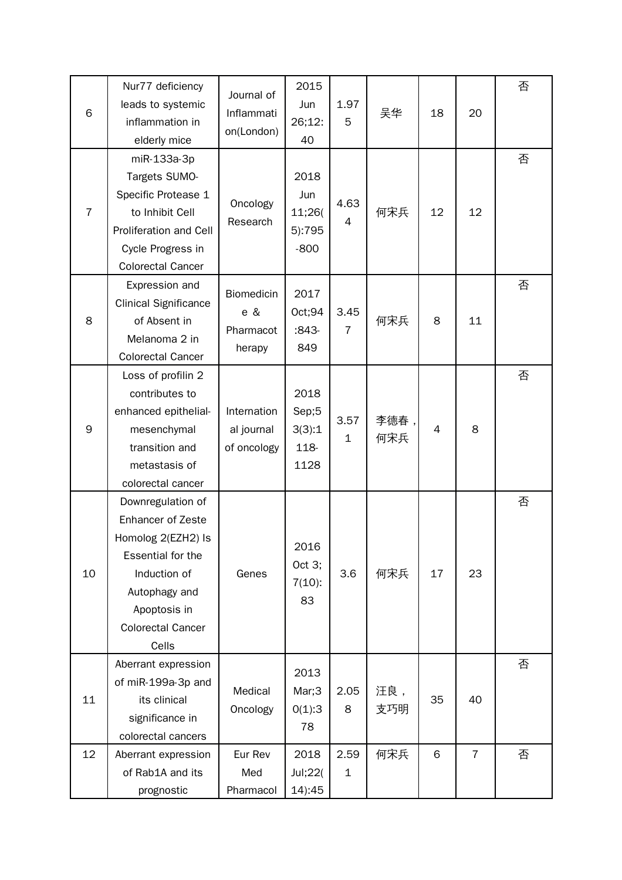|                | Nur77 deficiency             |                   | 2015           |                |      |    |                | 否 |
|----------------|------------------------------|-------------------|----------------|----------------|------|----|----------------|---|
| 6              | leads to systemic            | Journal of        | Jun            | 1.97<br>5      | 吴华   | 18 | 20             |   |
|                | inflammation in              | Inflammati        | 26;12:         |                |      |    |                |   |
|                | elderly mice                 | on(London)        | 40             |                |      |    |                |   |
|                | miR-133a-3p                  |                   |                |                |      |    |                | 否 |
|                | Targets SUMO-                |                   | 2018           |                |      |    |                |   |
|                | Specific Protease 1          |                   | Jun            |                |      |    |                |   |
| $\overline{7}$ | to Inhibit Cell              | Oncology          | 11;26(         | 4.63           | 何宋兵  | 12 | 12             |   |
|                | Proliferation and Cell       | Research          | 5):795         | $\overline{4}$ |      |    |                |   |
|                | Cycle Progress in            |                   | $-800$         |                |      |    |                |   |
|                | <b>Colorectal Cancer</b>     |                   |                |                |      |    |                |   |
|                | Expression and               |                   |                |                |      |    |                | 否 |
|                | <b>Clinical Significance</b> | <b>Biomedicin</b> | 2017           |                |      |    |                |   |
| 8              | of Absent in                 | e &               | Oct;94         | 3.45           | 何宋兵  | 8  | 11             |   |
|                | Melanoma 2 in                | Pharmacot         | $:843-$        | $\overline{7}$ |      |    |                |   |
|                | <b>Colorectal Cancer</b>     | herapy            | 849            |                |      |    |                |   |
|                | Loss of profilin 2           |                   |                |                |      |    |                | 否 |
|                | contributes to               |                   | 2018           |                |      |    |                |   |
|                | enhanced epithelial-         | Internation       | Sep;5          | 3.57           | 李德春, |    |                |   |
| 9              | mesenchymal                  | al journal        | 3(3):1         | 1              | 何宋兵  | 4  | 8              |   |
|                | transition and               | of oncology       | 118-           |                |      |    |                |   |
|                | metastasis of                |                   | 1128           |                |      |    |                |   |
|                | colorectal cancer            |                   |                |                |      |    |                |   |
|                | Downregulation of            |                   |                |                |      |    |                | 否 |
|                | <b>Enhancer of Zeste</b>     |                   |                |                |      |    |                |   |
|                | Homolog 2(EZH2) Is           |                   | 2016<br>Oct 3; | 3.6            | 何宋兵  | 17 | 23             |   |
|                | Essential for the            |                   |                |                |      |    |                |   |
| 10             | Induction of                 | Genes             | $7(10)$ :      |                |      |    |                |   |
|                | Autophagy and                |                   | 83             |                |      |    |                |   |
|                | Apoptosis in                 |                   |                |                |      |    |                |   |
|                | <b>Colorectal Cancer</b>     |                   |                |                |      |    |                |   |
|                | Cells                        |                   |                |                |      |    |                |   |
|                | Aberrant expression          |                   | 2013           |                |      |    |                | 否 |
| 11             | of miR-199a-3p and           | Medical           | Mar;3          | 2.05           | 汪良,  |    |                |   |
|                | its clinical                 | Oncology          | 0(1):3         | 8              | 支巧明  | 35 | 40             |   |
|                | significance in              |                   | 78             |                |      |    |                |   |
|                | colorectal cancers           |                   |                |                |      |    |                |   |
| 12             | Aberrant expression          | Eur Rev           | 2018           | 2.59           | 何宋兵  | 6  | $\overline{7}$ | 否 |
|                | of Rab1A and its             | Med               | Jul;22(        | $\mathbf 1$    |      |    |                |   |
|                | prognostic                   | Pharmacol         | 14):45         |                |      |    |                |   |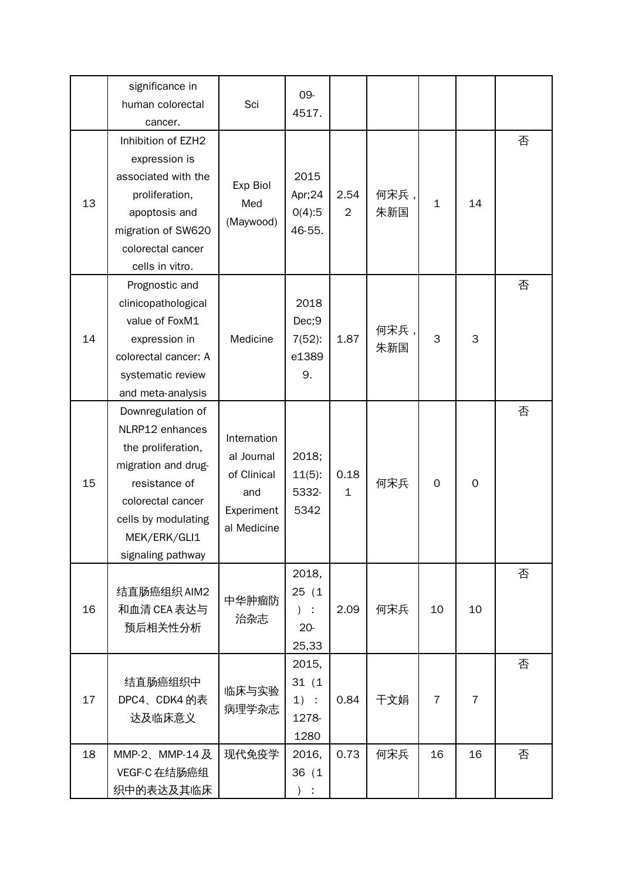|    | significance in<br>human colorectal<br>cancer.                                                                                                                                      | Sci                                                                          | 09-<br>4517.                               |                      |             |                |                |   |
|----|-------------------------------------------------------------------------------------------------------------------------------------------------------------------------------------|------------------------------------------------------------------------------|--------------------------------------------|----------------------|-------------|----------------|----------------|---|
| 13 | Inhibition of EZH2<br>expression is<br>associated with the<br>proliferation,<br>apoptosis and<br>migration of SW620<br>colorectal cancer<br>cells in vitro.                         | Exp Biol<br>Med<br>(Maywood)                                                 | 2015<br>Apr;24<br>O(4):5<br>46-55.         | 2.54<br>2            | 何宋兵,<br>朱新国 | $\mathbf{1}$   | 14             | 否 |
| 14 | Prognostic and<br>clinicopathological<br>value of FoxM1<br>expression in<br>colorectal cancer: A<br>systematic review<br>and meta-analysis                                          | Medicine                                                                     | 2018<br>Dec;9<br>$7(52)$ :<br>e1389<br>9.  | 1.87                 | 何宋兵,<br>朱新国 | 3              | 3              | 否 |
| 15 | Downregulation of<br>NLRP12 enhances<br>the proliferation,<br>migration and drug-<br>resistance of<br>colorectal cancer<br>cells by modulating<br>MEK/ERK/GLI1<br>signaling pathway | Internation<br>al Journal<br>of Clinical<br>and<br>Experiment<br>al Medicine | 2018;<br>$11(5)$ :<br>5332-<br>5342        | 0.18<br>$\mathbf{1}$ | 何宋兵         | $\mathbf 0$    | $\mathbf 0$    | 否 |
| 16 | 结直肠癌组织 AIM2<br>和血清 CEA 表达与<br>预后相关性分析                                                                                                                                               | 中华肿瘤防<br>治杂志                                                                 | 2018,<br>25(1)<br>$)$ :<br>$20 -$<br>25,33 | 2.09                 | 何宋兵         | 10             | 10             | 否 |
| 17 | 结直肠癌组织中<br>DPC4、CDK4 的表<br>达及临床意义                                                                                                                                                   | 临床与实验<br>病理学杂志                                                               | 2015,<br>31(1)<br>$1)$ :<br>1278-<br>1280  | 0.84                 | 干文娟         | $\overline{7}$ | $\overline{7}$ | 否 |
| 18 | MMP-2、MMP-14 $\overline{\mathcal{R}}$<br>VEGF-C 在结肠癌组<br>织中的表达及其临床                                                                                                                  | 现代免疫学                                                                        | 2016,<br>36 (1<br>$)$ :                    | 0.73                 | 何宋兵         | 16             | 16             | 否 |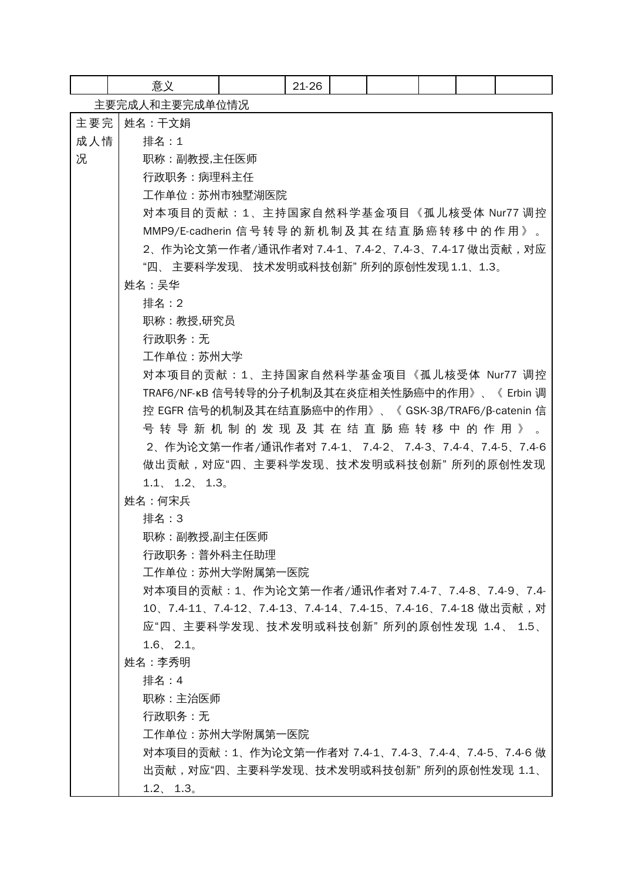|     | 意义                                                         |        | 21-26 |  |  |  |  |  |
|-----|------------------------------------------------------------|--------|-------|--|--|--|--|--|
|     | 主要完成人和主要完成单位情况                                             |        |       |  |  |  |  |  |
| 主要完 | 姓名:干文娟                                                     |        |       |  |  |  |  |  |
| 成人情 | 排名:1                                                       |        |       |  |  |  |  |  |
| 况   | 职称:副教授,主任医师                                                |        |       |  |  |  |  |  |
|     | 行政职务:病理科主任                                                 |        |       |  |  |  |  |  |
|     | 工作单位:苏州市独墅湖医院                                              |        |       |  |  |  |  |  |
|     | 对本项目的贡献:1、主持国家自然科学基金项目《孤儿核受体 Nur77 调控                      |        |       |  |  |  |  |  |
|     |                                                            |        |       |  |  |  |  |  |
|     | 2、作为论文第一作者 /通讯作者对 7.4-1、7.4-2、7.4-3、7.4-17 做出贡献,对应         |        |       |  |  |  |  |  |
|     | "四、 主要科学发现、 技术发明或科技创新" 所列的原创性发现 1.1、1.3。                   |        |       |  |  |  |  |  |
|     | 姓名:吴华                                                      |        |       |  |  |  |  |  |
|     | 排名:2                                                       |        |       |  |  |  |  |  |
|     | 职称:教授,研究员                                                  |        |       |  |  |  |  |  |
|     | 行政职务:无                                                     |        |       |  |  |  |  |  |
|     | 工作单位: 苏州大学                                                 |        |       |  |  |  |  |  |
|     | 对本项目的贡献:1、主持国家自然科学基金项目《孤儿核受体 Nur77 调控                      |        |       |  |  |  |  |  |
|     | TRAF6/NF-κB 信号转导的分子机制及其在炎症相关性肠癌中的作用》、《 Erbin 调             |        |       |  |  |  |  |  |
|     | 控 EGFR 信号的机制及其在结直肠癌中的作用》、《 GSK-3β/TRAF6/β-catenin 信        |        |       |  |  |  |  |  |
|     | 号 转 导 新 机 制 的 发 现 及 其 在 结 直 肠 癌 转 移 中 的 作 用 》 。            |        |       |  |  |  |  |  |
|     | 2、作为论文第一作者 /通讯作者对 7.4-1、 7.4-2、 7.4-3、7.4-4、7.4-5、7.4-6    |        |       |  |  |  |  |  |
|     | 做出贡献,对应"四、主要科学发现、技术发明或科技创新" 所列的原创性发现<br>1.1, 1.2, 1.3      |        |       |  |  |  |  |  |
|     |                                                            |        |       |  |  |  |  |  |
|     |                                                            | 姓名:何宋兵 |       |  |  |  |  |  |
|     | 排名:3                                                       |        |       |  |  |  |  |  |
|     | 职称:副教授,副主任医师<br>行政职务:普外科主任助理                               |        |       |  |  |  |  |  |
|     | 工作单位:苏州大学附属第一医院                                            |        |       |  |  |  |  |  |
|     | 对本项目的贡献:1、作为论文第一作者/通讯作者对 7.4-7、7.4-8、7.4-9、7.4-            |        |       |  |  |  |  |  |
|     | 10、7.4-11、7.4-12、7.4-13、7.4-14、7.4-15、7.4-16、7.4-18 做出贡献,对 |        |       |  |  |  |  |  |
|     | 应"四、主要科学发现、技术发明或科技创新" 所列的原创性发现 1.4、 1.5、                   |        |       |  |  |  |  |  |
|     | 1.6, 2.1                                                   |        |       |  |  |  |  |  |
|     | 姓名:李秀明                                                     |        |       |  |  |  |  |  |
|     | 排名:4                                                       |        |       |  |  |  |  |  |
|     | 职称:主治医师                                                    |        |       |  |  |  |  |  |
|     | 行政职务:无                                                     |        |       |  |  |  |  |  |
|     | 工作单位:苏州大学附属第一医院                                            |        |       |  |  |  |  |  |
|     | 对本项目的贡献:1、作为论文第一作者对 7.4-1、7.4-3、7.4-4、7.4-5、7.4-6 做        |        |       |  |  |  |  |  |
|     | 出贡献,对应"四、主要科学发现、技术发明或科技创新" 所列的原创性发现 1.1、                   |        |       |  |  |  |  |  |
|     | 1.2, 1.3                                                   |        |       |  |  |  |  |  |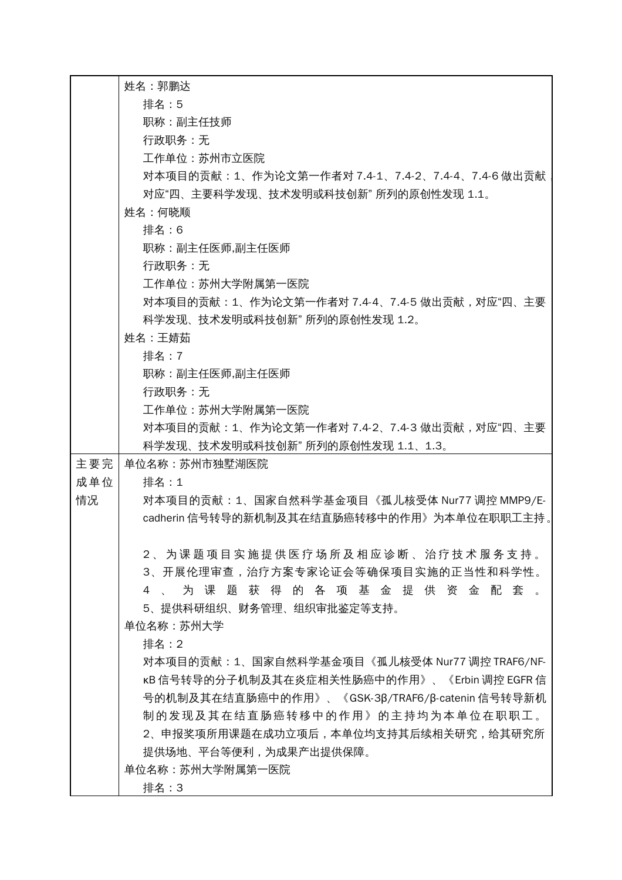|     | 姓名:郭鹏达                                                     |
|-----|------------------------------------------------------------|
|     | 排名:5                                                       |
|     | 职称:副主任技师                                                   |
|     | 行政职务:无                                                     |
|     | 工作单位:苏州市立医院                                                |
|     | 对本项目的贡献:1、作为论文第一作者对 7.4-1、7.4-2、7.4-4、7.4-6 做出贡献           |
|     | 对应"四、主要科学发现、技术发明或科技创新" 所列的原创性发现 1.1。                       |
|     | 姓名:何晓顺                                                     |
|     | 排名:6                                                       |
|     | 职称:副主任医师,副主任医师                                             |
|     | 行政职务:无                                                     |
|     | 工作单位: 苏州大学附属第一医院                                           |
|     | 对本项目的贡献:1、作为论文第一作者对 7.4-4、7.4-5 做出贡献,对应"四、主要               |
|     | 科学发现、技术发明或科技创新" 所列的原创性发现 1.2。                              |
|     | 姓名:王婧茹                                                     |
|     | 排名:7                                                       |
|     | 职称:副主任医师,副主任医师                                             |
|     | 行政职务:无                                                     |
|     | 工作单位:苏州大学附属第一医院                                            |
|     | 对本项目的贡献:1、作为论文第一作者对 7.4-2、7.4-3 做出贡献,对应"四、主要               |
|     | 科学发现、技术发明或科技创新" 所列的原创性发现 1.1、1.3。                          |
| 主要完 | 单位名称:苏州市独墅湖医院                                              |
| 成单位 | 排名:1                                                       |
| 情况  | 对本项目的贡献:1、国家自然科学基金项目《孤儿核受体 Nur77 调控 MMP9/E-                |
|     | cadherin 信号转导的新机制及其在结直肠癌转移中的作用》为本单位在职职工主持 。                |
|     |                                                            |
|     | 2 、 为课 题 项 目 实 施 提 供 医 疗 场 所 及 相 应 诊 断 、 治 疗 技 术 服 务 支 持 。 |
|     | 3、开展伦理审查,治疗方案专家论证会等确保项目实施的正当性和科学性。                         |
|     | 为课题获得的各项基金提供资金配套。<br>4                                     |
|     | 5、提供科研组织、财务管理、组织审批鉴定等支持。                                   |
|     | 单位名称:苏州大学<br>排名:2                                          |
|     | 对本项目的贡献: 1、国家自然科学基金项目《孤儿核受体 Nur77 调控 TRAF6/NF-             |
|     | kB 信号转导的分子机制及其在炎症相关性肠癌中的作用》、《Erbin 调控 EGFR 信               |
|     | 号的机制及其在结直肠癌中的作用》、《GSK-3β/TRAF6/β-catenin 信号转导新机            |
|     | 制的发现及其在结直肠癌转移中的作用》的主持均为本单位在职职工。                            |
|     | 2、申报奖项所用课题在成功立项后,本单位均支持其后续相关研究,给其研究所                       |
|     | 提供场地、平台等便利,为成果产出提供保障。                                      |
|     | 单位名称:苏州大学附属第一医院                                            |
|     | 排名:3                                                       |